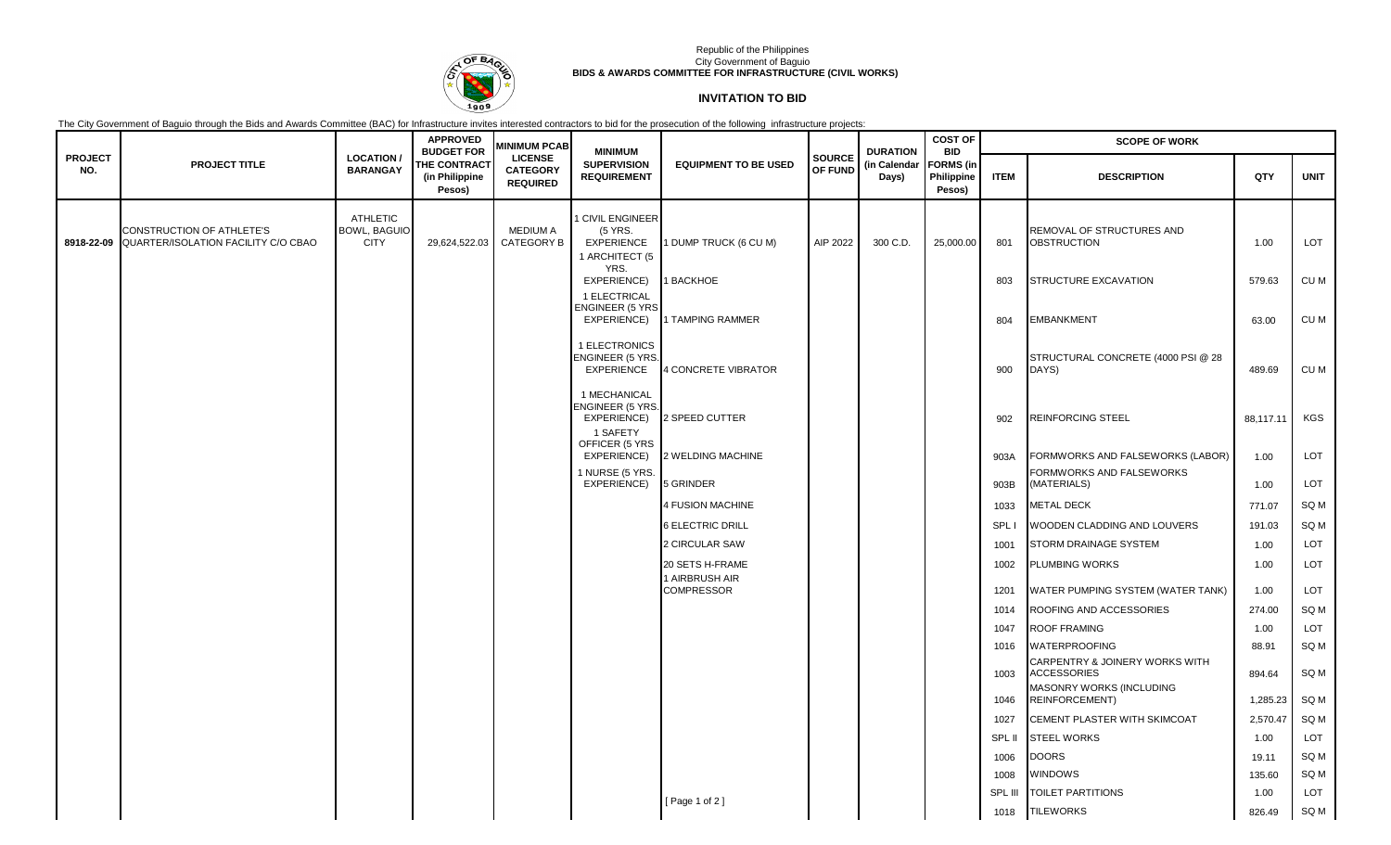

## Republic of the Philippines City Government of Baguio **BIDS & AWARDS COMMITTEE FOR INFRASTRUCTURE (CIVIL WORKS)**

## **INVITATION TO BID**

The City Government of Baguio through the Bids and Awards Committee (BAC) for Infrastructure invites interested contractors to bid for the prosecution of the following infrastructure projects:

|                       |                                                                             |                                                       | <b>APPROVED</b><br><b>BUDGET FOR</b>            | <b>MINIMUM PCAB</b>                                  | <b>MINIMUM</b>                                                                |                                     |                          | <b>DURATION</b><br>(in Calendar<br>Days) | <b>COST OF</b><br><b>BID</b>             | <b>SCOPE OF WORK</b> |                                                 |           |                 |  |
|-----------------------|-----------------------------------------------------------------------------|-------------------------------------------------------|-------------------------------------------------|------------------------------------------------------|-------------------------------------------------------------------------------|-------------------------------------|--------------------------|------------------------------------------|------------------------------------------|----------------------|-------------------------------------------------|-----------|-----------------|--|
| <b>PROJECT</b><br>NO. | <b>PROJECT TITLE</b>                                                        | <b>LOCATION /</b><br><b>BARANGAY</b>                  | <b>THE CONTRACT</b><br>(in Philippine<br>Pesos) | <b>LICENSE</b><br><b>CATEGORY</b><br><b>REQUIRED</b> | <b>SUPERVISION</b><br><b>REQUIREMENT</b>                                      | <b>EQUIPMENT TO BE USED</b>         | <b>SOURCE</b><br>OF FUND |                                          | <b>FORMS</b> (in<br>Philippine<br>Pesos) | <b>ITEM</b>          | <b>DESCRIPTION</b>                              | QTY       | <b>UNIT</b>     |  |
|                       | CONSTRUCTION OF ATHLETE'S<br>8918-22-09 QUARTER/ISOLATION FACILITY C/O CBAO | <b>ATHLETIC</b><br><b>BOWL, BAGUIO</b><br><b>CITY</b> | 29,624,522.03                                   | <b>MEDIUM A</b><br>CATEGORY B                        | 1 CIVIL ENGINEER<br>(5 YRS.<br><b>EXPERIENCE</b><br>1 ARCHITECT (5            | 1 DUMP TRUCK (6 CU M)               | AIP 2022                 | 300 C.D.                                 | 25,000.00                                | 801                  | REMOVAL OF STRUCTURES AND<br><b>OBSTRUCTION</b> | 1.00      | <b>LOT</b>      |  |
|                       |                                                                             |                                                       |                                                 |                                                      | YRS.<br>EXPERIENCE)<br>1 ELECTRICAL<br><b>ENGINEER (5 YRS</b>                 | 1 BACKHOE                           |                          |                                          |                                          | 803                  | <b>STRUCTURE EXCAVATION</b>                     | 579.63    | CU M            |  |
|                       |                                                                             |                                                       |                                                 |                                                      | EXPERIENCE)                                                                   | 1 TAMPING RAMMER                    |                          |                                          |                                          | 804                  | <b>EMBANKMENT</b>                               | 63.00     | CU M            |  |
|                       |                                                                             |                                                       |                                                 |                                                      | 1 ELECTRONICS<br>ENGINEER (5 YRS.<br><b>EXPERIENCE</b>                        | 4 CONCRETE VIBRATOR                 |                          |                                          |                                          | 900                  | STRUCTURAL CONCRETE (4000 PSI @ 28<br>DAYS)     | 489.69    | CU M            |  |
|                       |                                                                             |                                                       |                                                 |                                                      | 1 MECHANICAL<br>ENGINEER (5 YRS.<br>EXPERIENCE)<br>1 SAFETY<br>OFFICER (5 YRS | 2 SPEED CUTTER                      |                          |                                          |                                          | 902                  | REINFORCING STEEL                               | 88,117.11 | <b>KGS</b>      |  |
|                       |                                                                             |                                                       |                                                 |                                                      | EXPERIENCE)                                                                   | 2 WELDING MACHINE                   |                          |                                          |                                          | 903A                 | FORMWORKS AND FALSEWORKS (LABOR)                | 1.00      | <b>LOT</b>      |  |
|                       |                                                                             |                                                       |                                                 |                                                      | 1 NURSE (5 YRS.<br>EXPERIENCE)                                                | 5 GRINDER                           |                          |                                          |                                          | 903B                 | FORMWORKS AND FALSEWORKS<br>(MATERIALS)         | 1.00      | LOT             |  |
|                       |                                                                             |                                                       |                                                 |                                                      |                                                                               | 4 FUSION MACHINE                    |                          |                                          |                                          | 1033                 | <b>METAL DECK</b>                               | 771.07    | SQ <sub>M</sub> |  |
|                       |                                                                             |                                                       |                                                 |                                                      |                                                                               | <b>6 ELECTRIC DRILL</b>             |                          |                                          |                                          | SPL I                | WOODEN CLADDING AND LOUVERS                     | 191.03    | SQ <sub>M</sub> |  |
|                       |                                                                             |                                                       |                                                 |                                                      |                                                                               | 2 CIRCULAR SAW                      |                          |                                          |                                          | 1001                 | STORM DRAINAGE SYSTEM                           | 1.00      | LOT             |  |
|                       |                                                                             |                                                       |                                                 |                                                      |                                                                               | 20 SETS H-FRAME                     |                          |                                          |                                          | 1002                 | PLUMBING WORKS                                  | 1.00      | <b>LOT</b>      |  |
|                       |                                                                             |                                                       |                                                 |                                                      |                                                                               | 1 AIRBRUSH AIR<br><b>COMPRESSOR</b> |                          |                                          |                                          | 1201                 | WATER PUMPING SYSTEM (WATER TANK)               | 1.00      | <b>LOT</b>      |  |
|                       |                                                                             |                                                       |                                                 |                                                      |                                                                               |                                     |                          |                                          |                                          | 1014                 | ROOFING AND ACCESSORIES                         | 274.00    | SQ M            |  |
|                       |                                                                             |                                                       |                                                 |                                                      |                                                                               |                                     |                          |                                          |                                          | 1047                 | <b>ROOF FRAMING</b>                             | 1.00      | LOT             |  |
|                       |                                                                             |                                                       |                                                 |                                                      |                                                                               |                                     |                          |                                          |                                          | 1016                 | WATERPROOFING<br>CARPENTRY & JOINERY WORKS WITH | 88.91     | SQ M            |  |
|                       |                                                                             |                                                       |                                                 |                                                      |                                                                               |                                     |                          |                                          |                                          | 1003                 | <b>ACCESSORIES</b><br>MASONRY WORKS (INCLUDING  | 894.64    | SQ <sub>M</sub> |  |
|                       |                                                                             |                                                       |                                                 |                                                      |                                                                               |                                     |                          |                                          |                                          | 1046                 | REINFORCEMENT)                                  | 1,285.23  | SQ <sub>M</sub> |  |
|                       |                                                                             |                                                       |                                                 |                                                      |                                                                               |                                     |                          |                                          |                                          | 1027                 | CEMENT PLASTER WITH SKIMCOAT                    | 2,570.47  | SQ <sub>M</sub> |  |
|                       |                                                                             |                                                       |                                                 |                                                      |                                                                               |                                     |                          |                                          |                                          | SPL II               | <b>STEEL WORKS</b>                              | 1.00      | <b>LOT</b>      |  |
|                       |                                                                             |                                                       |                                                 |                                                      |                                                                               |                                     |                          |                                          |                                          | 1006                 | <b>DOORS</b>                                    | 19.11     | SQ <sub>M</sub> |  |
|                       |                                                                             |                                                       |                                                 |                                                      |                                                                               |                                     |                          |                                          |                                          | 1008                 | WINDOWS                                         | 135.60    | SQ <sub>M</sub> |  |
|                       |                                                                             |                                                       |                                                 |                                                      |                                                                               | [Page 1 of 2]                       |                          |                                          |                                          | SPL III              | TOILET PARTITIONS                               | 1.00      | LOT             |  |
|                       |                                                                             |                                                       |                                                 |                                                      |                                                                               |                                     |                          |                                          |                                          | 1018                 | <b>TILEWORKS</b>                                | 826.49    | SQ M            |  |